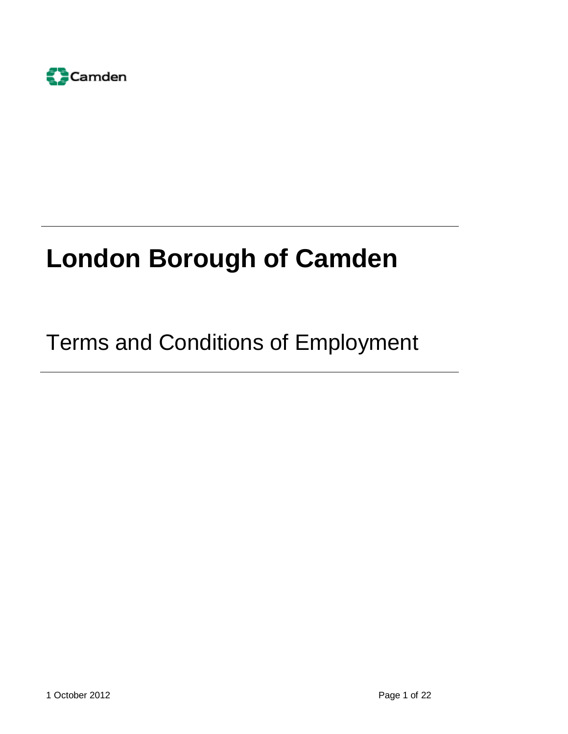

# **London Borough of Camden**

## Terms and Conditions of Employment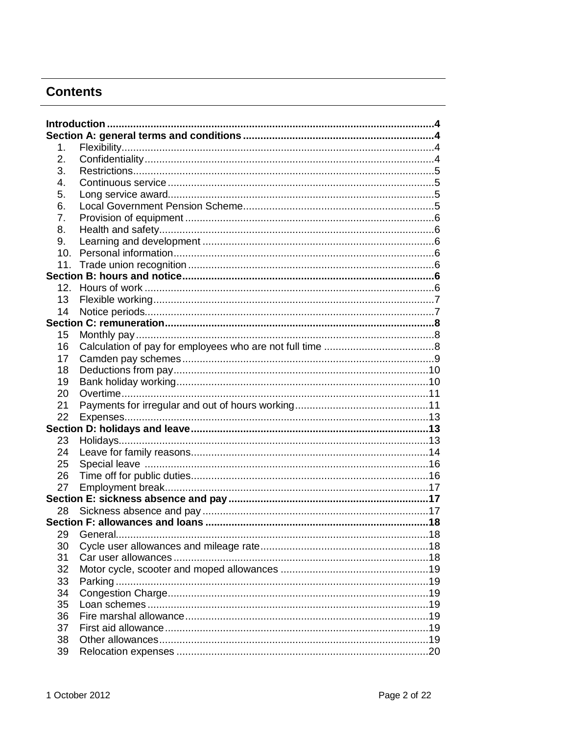## **Contents**

| 1.  |  |
|-----|--|
| 2.  |  |
| 3.  |  |
| 4.  |  |
| 5.  |  |
| 6.  |  |
| 7.  |  |
| 8.  |  |
| 9.  |  |
| 10. |  |
| 11. |  |
|     |  |
|     |  |
| 13  |  |
| 14  |  |
|     |  |
| 15  |  |
| 16  |  |
| 17  |  |
| 18  |  |
| 19  |  |
| 20  |  |
| 21  |  |
| 22  |  |
|     |  |
| 23  |  |
| 24  |  |
| 25  |  |
| 26  |  |
| 27  |  |
|     |  |
| 28  |  |
|     |  |
| 29  |  |
| 30  |  |
| 31  |  |
| 32  |  |
| 33  |  |
| 34  |  |
| 35  |  |
| 36  |  |
| 37  |  |
| 38  |  |
| 39  |  |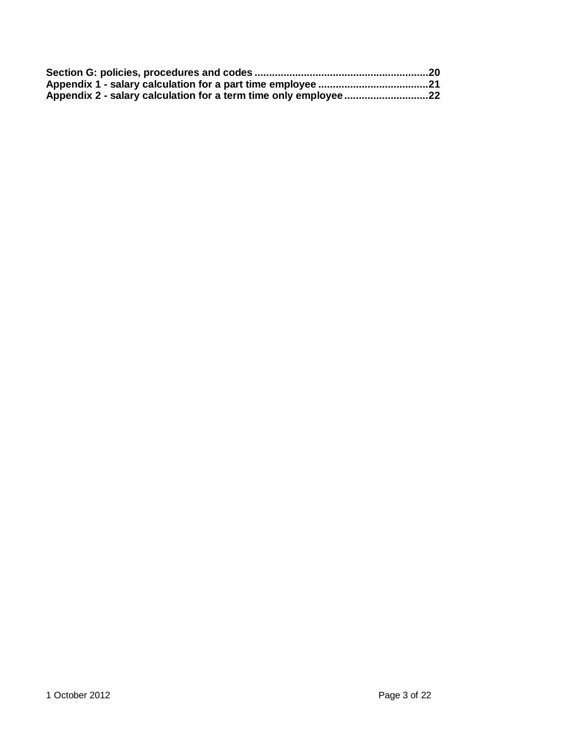| Appendix 2 - salary calculation for a term time only employee22 |  |
|-----------------------------------------------------------------|--|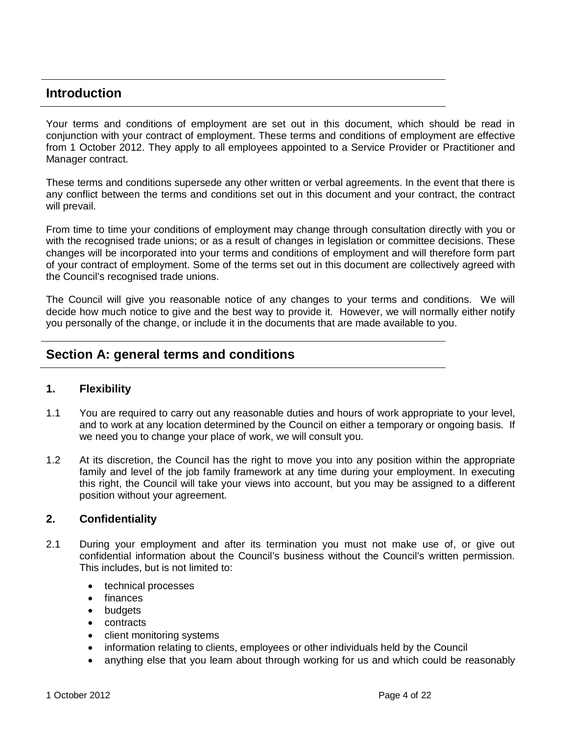## <span id="page-3-0"></span>**Introduction**

Your terms and conditions of employment are set out in this document, which should be read in conjunction with your contract of employment. These terms and conditions of employment are effective from 1 October 2012. They apply to all employees appointed to a Service Provider or Practitioner and Manager contract.

These terms and conditions supersede any other written or verbal agreements. In the event that there is any conflict between the terms and conditions set out in this document and your contract, the contract will prevail.

From time to time your conditions of employment may change through consultation directly with you or with the recognised trade unions; or as a result of changes in legislation or committee decisions. These changes will be incorporated into your terms and conditions of employment and will therefore form part of your contract of employment. Some of the terms set out in this document are collectively agreed with the Council's recognised trade unions.

The Council will give you reasonable notice of any changes to your terms and conditions. We will decide how much notice to give and the best way to provide it. However, we will normally either notify you personally of the change, or include it in the documents that are made available to you.

## <span id="page-3-1"></span>**Section A: general terms and conditions**

## <span id="page-3-2"></span>**1. Flexibility**

- 1.1 You are required to carry out any reasonable duties and hours of work appropriate to your level, and to work at any location determined by the Council on either a temporary or ongoing basis. If we need you to change your place of work, we will consult you.
- 1.2 At its discretion, the Council has the right to move you into any position within the appropriate family and level of the job family framework at any time during your employment. In executing this right, the Council will take your views into account, but you may be assigned to a different position without your agreement.

## <span id="page-3-3"></span>**2. Confidentiality**

- 2.1 During your employment and after its termination you must not make use of, or give out confidential information about the Council's business without the Council's written permission. This includes, but is not limited to:
	- technical processes
	- finances
	- budgets
	- contracts
	- client monitoring systems
	- information relating to clients, employees or other individuals held by the Council
	- anything else that you learn about through working for us and which could be reasonably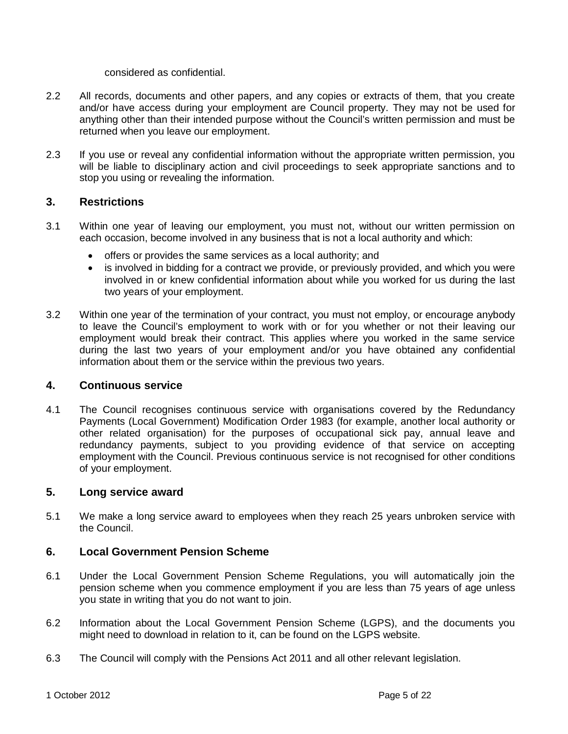considered as confidential.

- 2.2 All records, documents and other papers, and any copies or extracts of them, that you create and/or have access during your employment are Council property. They may not be used for anything other than their intended purpose without the Council's written permission and must be returned when you leave our employment.
- 2.3 If you use or reveal any confidential information without the appropriate written permission, you will be liable to disciplinary action and civil proceedings to seek appropriate sanctions and to stop you using or revealing the information.

## <span id="page-4-0"></span>**3. Restrictions**

- 3.1 Within one year of leaving our employment, you must not, without our written permission on each occasion, become involved in any business that is not a local authority and which:
	- offers or provides the same services as a local authority; and
	- is involved in bidding for a contract we provide, or previously provided, and which you were involved in or knew confidential information about while you worked for us during the last two years of your employment.
- 3.2 Within one year of the termination of your contract, you must not employ, or encourage anybody to leave the Council's employment to work with or for you whether or not their leaving our employment would break their contract. This applies where you worked in the same service during the last two years of your employment and/or you have obtained any confidential information about them or the service within the previous two years.

## <span id="page-4-1"></span>**4. Continuous service**

4.1 The Council recognises continuous service with organisations covered by the Redundancy Payments (Local Government) Modification Order 1983 (for example, another local authority or other related organisation) for the purposes of occupational sick pay, annual leave and redundancy payments, subject to you providing evidence of that service on accepting employment with the Council. Previous continuous service is not recognised for other conditions of your employment.

## <span id="page-4-2"></span>**5. Long service award**

5.1 We make a long service award to employees when they reach 25 years unbroken service with the Council.

## <span id="page-4-3"></span>**6. Local Government Pension Scheme**

- 6.1 Under the Local Government Pension Scheme Regulations, you will automatically join the pension scheme when you commence employment if you are less than 75 years of age unless you state in writing that you do not want to join.
- 6.2 Information about the Local Government Pension Scheme (LGPS), and the documents you might need to download in relation to it, can be found on the LGPS website.
- 6.3 The Council will comply with the Pensions Act 2011 and all other relevant legislation.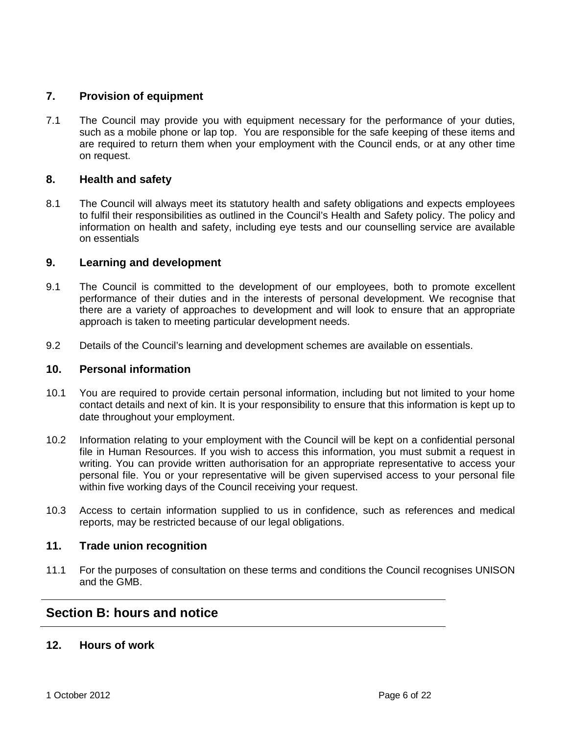## <span id="page-5-0"></span>**7. Provision of equipment**

7.1 The Council may provide you with equipment necessary for the performance of your duties, such as a mobile phone or lap top. You are responsible for the safe keeping of these items and are required to return them when your employment with the Council ends, or at any other time on request.

## <span id="page-5-1"></span>**8. Health and safety**

8.1 The Council will always meet its statutory health and safety obligations and expects employees to fulfil their responsibilities as outlined in the Council's Health and Safety policy. The policy and information on health and safety, including eye tests and our counselling service are available on essentials

## <span id="page-5-2"></span>**9. Learning and development**

- 9.1 The Council is committed to the development of our employees, both to promote excellent performance of their duties and in the interests of personal development. We recognise that there are a variety of approaches to development and will look to ensure that an appropriate approach is taken to meeting particular development needs.
- 9.2 Details of the Council's learning and development schemes are available on essentials.

## <span id="page-5-3"></span>**10. Personal information**

- 10.1 You are required to provide certain personal information, including but not limited to your home contact details and next of kin. It is your responsibility to ensure that this information is kept up to date throughout your employment.
- 10.2 Information relating to your employment with the Council will be kept on a confidential personal file in Human Resources. If you wish to access this information, you must submit a request in writing. You can provide written authorisation for an appropriate representative to access your personal file. You or your representative will be given supervised access to your personal file within five working days of the Council receiving your request.
- 10.3 Access to certain information supplied to us in confidence, such as references and medical reports, may be restricted because of our legal obligations.

## <span id="page-5-4"></span>**11. Trade union recognition**

11.1 For the purposes of consultation on these terms and conditions the Council recognises UNISON and the GMB.

## <span id="page-5-5"></span>**Section B: hours and notice**

## <span id="page-5-6"></span>**12. Hours of work**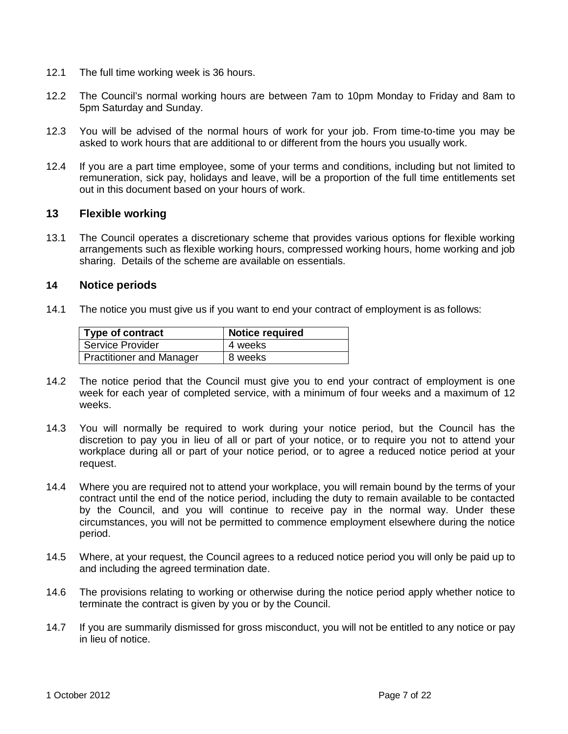- 12.1 The full time working week is 36 hours.
- 12.2 The Council's normal working hours are between 7am to 10pm Monday to Friday and 8am to 5pm Saturday and Sunday.
- 12.3 You will be advised of the normal hours of work for your job. From time-to-time you may be asked to work hours that are additional to or different from the hours you usually work.
- 12.4 If you are a part time employee, some of your terms and conditions, including but not limited to remuneration, sick pay, holidays and leave, will be a proportion of the full time entitlements set out in this document based on your hours of work.

## <span id="page-6-0"></span>**13 Flexible working**

13.1 The Council operates a discretionary scheme that provides various options for flexible working arrangements such as flexible working hours, compressed working hours, home working and job sharing. Details of the scheme are available on essentials.

## <span id="page-6-1"></span>**14 Notice periods**

14.1 The notice you must give us if you want to end your contract of employment is as follows:

| Type of contract                | <b>Notice required</b> |
|---------------------------------|------------------------|
| <b>Service Provider</b>         | 4 weeks                |
| <b>Practitioner and Manager</b> | 8 weeks                |

- 14.2 The notice period that the Council must give you to end your contract of employment is one week for each year of completed service, with a minimum of four weeks and a maximum of 12 weeks.
- 14.3 You will normally be required to work during your notice period, but the Council has the discretion to pay you in lieu of all or part of your notice, or to require you not to attend your workplace during all or part of your notice period, or to agree a reduced notice period at your request.
- 14.4 Where you are required not to attend your workplace, you will remain bound by the terms of your contract until the end of the notice period, including the duty to remain available to be contacted by the Council, and you will continue to receive pay in the normal way. Under these circumstances, you will not be permitted to commence employment elsewhere during the notice period.
- 14.5 Where, at your request, the Council agrees to a reduced notice period you will only be paid up to and including the agreed termination date.
- 14.6 The provisions relating to working or otherwise during the notice period apply whether notice to terminate the contract is given by you or by the Council.
- 14.7 If you are summarily dismissed for gross misconduct, you will not be entitled to any notice or pay in lieu of notice.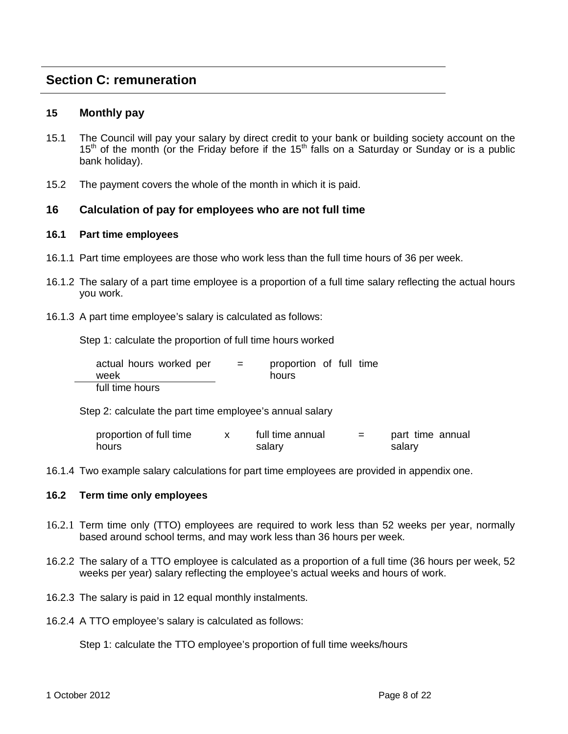## <span id="page-7-0"></span>**Section C: remuneration**

## <span id="page-7-1"></span>**15 Monthly pay**

- 15.1 The Council will pay your salary by direct credit to your bank or building society account on the  $15<sup>th</sup>$  of the month (or the Friday before if the  $15<sup>th</sup>$  falls on a Saturday or Sunday or is a public bank holiday).
- 15.2 The payment covers the whole of the month in which it is paid.

## <span id="page-7-2"></span>**16 Calculation of pay for employees who are not full time**

#### **16.1 Part time employees**

- 16.1.1 Part time employees are those who work less than the full time hours of 36 per week.
- 16.1.2 The salary of a part time employee is a proportion of a full time salary reflecting the actual hours you work.
- 16.1.3 A part time employee's salary is calculated as follows:

Step 1: calculate the proportion of full time hours worked

| actual hours worked per<br>week | $=$ | proportion of full time<br>hours |  |  |
|---------------------------------|-----|----------------------------------|--|--|
| full time hours                 |     |                                  |  |  |

Step 2: calculate the part time employee's annual salary

| proportion of full time | full time annual | part time annual |
|-------------------------|------------------|------------------|
| hours                   | salary           | salary           |

16.1.4 Two example salary calculations for part time employees are provided in appendix one.

#### **16.2 Term time only employees**

- 16.2.1 Term time only (TTO) employees are required to work less than 52 weeks per year, normally based around school terms, and may work less than 36 hours per week.
- 16.2.2 The salary of a TTO employee is calculated as a proportion of a full time (36 hours per week, 52 weeks per year) salary reflecting the employee's actual weeks and hours of work.
- 16.2.3 The salary is paid in 12 equal monthly instalments.
- 16.2.4 A TTO employee's salary is calculated as follows:

Step 1: calculate the TTO employee's proportion of full time weeks/hours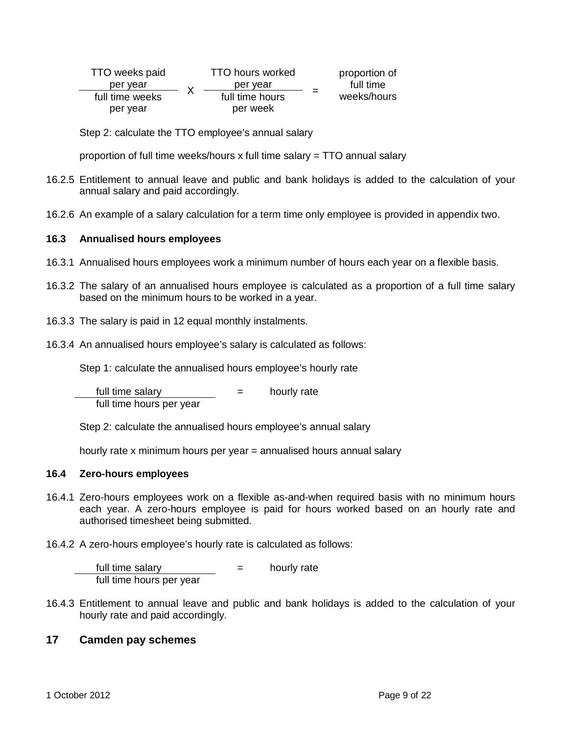| TTO weeks paid  | <b>TTO hours worked</b> | proportion of |
|-----------------|-------------------------|---------------|
| per vear        | per year                | full time     |
| full time weeks | full time hours         | weeks/hours   |
| per year        | per week                |               |

Step 2: calculate the TTO employee's annual salary

proportion of full time weeks/hours x full time salary = TTO annual salary

- 16.2.5 Entitlement to annual leave and public and bank holidays is added to the calculation of your annual salary and paid accordingly.
- 16.2.6 An example of a salary calculation for a term time only employee is provided in appendix two.

## **16.3 Annualised hours employees**

- 16.3.1 Annualised hours employees work a minimum number of hours each year on a flexible basis.
- 16.3.2 The salary of an annualised hours employee is calculated as a proportion of a full time salary based on the minimum hours to be worked in a year.
- 16.3.3 The salary is paid in 12 equal monthly instalments.
- 16.3.4 An annualised hours employee's salary is calculated as follows:

Step 1: calculate the annualised hours employee's hourly rate

full time salary  $=$  hourly rate full time hours per year

Step 2: calculate the annualised hours employee's annual salary

hourly rate x minimum hours per year = annualised hours annual salary

## **16.4 Zero-hours employees**

- 16.4.1 Zero-hours employees work on a flexible as-and-when required basis with no minimum hours each year. A zero-hours employee is paid for hours worked based on an hourly rate and authorised timesheet being submitted.
- 16.4.2 A zero-hours employee's hourly rate is calculated as follows:

full time salary  $=$  hourly rate full time hours per year

16.4.3 Entitlement to annual leave and public and bank holidays is added to the calculation of your hourly rate and paid accordingly.

## <span id="page-8-0"></span>**17 Camden pay schemes**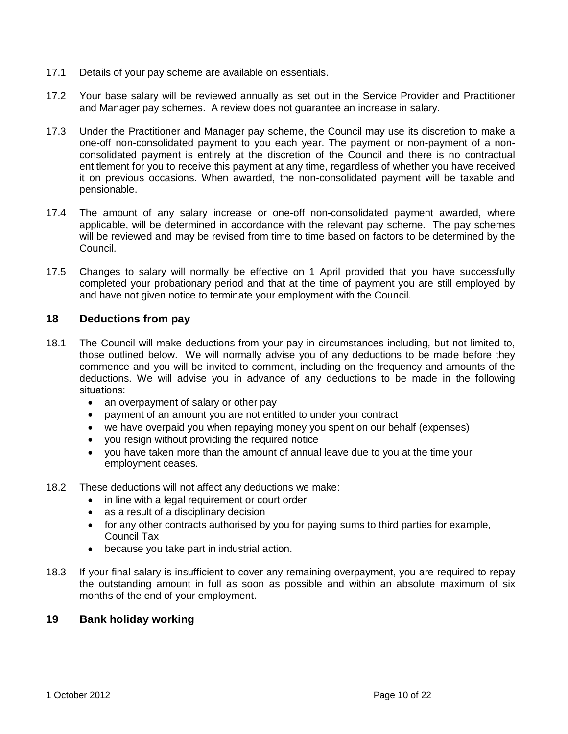- 17.1 Details of your pay scheme are available on essentials.
- 17.2 Your base salary will be reviewed annually as set out in the Service Provider and Practitioner and Manager pay schemes. A review does not guarantee an increase in salary.
- 17.3 Under the Practitioner and Manager pay scheme, the Council may use its discretion to make a one-off non-consolidated payment to you each year. The payment or non-payment of a nonconsolidated payment is entirely at the discretion of the Council and there is no contractual entitlement for you to receive this payment at any time, regardless of whether you have received it on previous occasions. When awarded, the non-consolidated payment will be taxable and pensionable.
- 17.4 The amount of any salary increase or one-off non-consolidated payment awarded, where applicable, will be determined in accordance with the relevant pay scheme. The pay schemes will be reviewed and may be revised from time to time based on factors to be determined by the Council.
- 17.5 Changes to salary will normally be effective on 1 April provided that you have successfully completed your probationary period and that at the time of payment you are still employed by and have not given notice to terminate your employment with the Council.

## <span id="page-9-0"></span>**18 Deductions from pay**

- 18.1 The Council will make deductions from your pay in circumstances including, but not limited to, those outlined below. We will normally advise you of any deductions to be made before they commence and you will be invited to comment, including on the frequency and amounts of the deductions. We will advise you in advance of any deductions to be made in the following situations:
	- an overpayment of salary or other pay
	- payment of an amount you are not entitled to under your contract
	- we have overpaid you when repaying money you spent on our behalf (expenses)
	- you resign without providing the required notice
	- you have taken more than the amount of annual leave due to you at the time your employment ceases.
- 18.2 These deductions will not affect any deductions we make:
	- in line with a legal requirement or court order
	- as a result of a disciplinary decision
	- for any other contracts authorised by you for paying sums to third parties for example, Council Tax
	- because you take part in industrial action.
- 18.3 If your final salary is insufficient to cover any remaining overpayment, you are required to repay the outstanding amount in full as soon as possible and within an absolute maximum of six months of the end of your employment.

## <span id="page-9-1"></span>**19 Bank holiday working**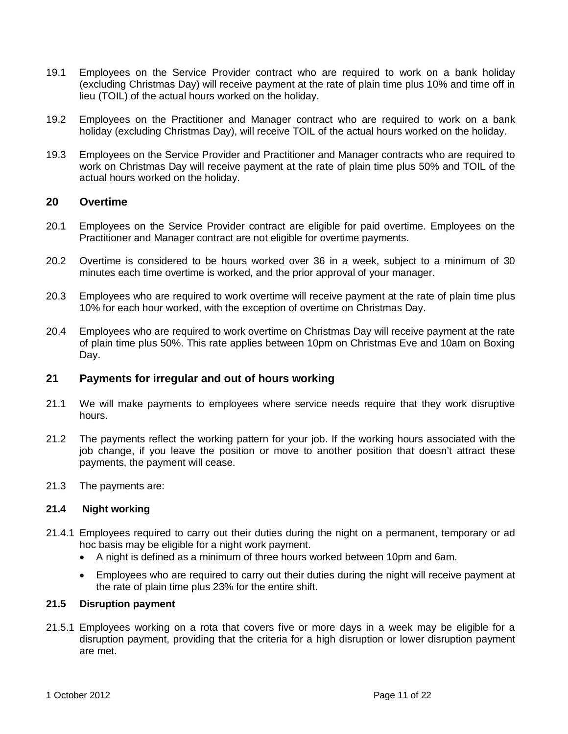- 19.1 Employees on the Service Provider contract who are required to work on a bank holiday (excluding Christmas Day) will receive payment at the rate of plain time plus 10% and time off in lieu (TOIL) of the actual hours worked on the holiday.
- 19.2 Employees on the Practitioner and Manager contract who are required to work on a bank holiday (excluding Christmas Day), will receive TOIL of the actual hours worked on the holiday.
- 19.3 Employees on the Service Provider and Practitioner and Manager contracts who are required to work on Christmas Day will receive payment at the rate of plain time plus 50% and TOIL of the actual hours worked on the holiday.

## <span id="page-10-0"></span>**20 Overtime**

- 20.1 Employees on the Service Provider contract are eligible for paid overtime. Employees on the Practitioner and Manager contract are not eligible for overtime payments.
- 20.2 Overtime is considered to be hours worked over 36 in a week, subject to a minimum of 30 minutes each time overtime is worked, and the prior approval of your manager.
- 20.3 Employees who are required to work overtime will receive payment at the rate of plain time plus 10% for each hour worked, with the exception of overtime on Christmas Day.
- 20.4 Employees who are required to work overtime on Christmas Day will receive payment at the rate of plain time plus 50%. This rate applies between 10pm on Christmas Eve and 10am on Boxing Day.

## <span id="page-10-1"></span>**21 Payments for irregular and out of hours working**

- 21.1 We will make payments to employees where service needs require that they work disruptive hours.
- 21.2 The payments reflect the working pattern for your job. If the working hours associated with the job change, if you leave the position or move to another position that doesn't attract these payments, the payment will cease.
- 21.3 The payments are:

#### **21.4 Night working**

- 21.4.1 Employees required to carry out their duties during the night on a permanent, temporary or ad hoc basis may be eligible for a night work payment.
	- A night is defined as a minimum of three hours worked between 10pm and 6am.
	- Employees who are required to carry out their duties during the night will receive payment at the rate of plain time plus 23% for the entire shift.

## **21.5 Disruption payment**

21.5.1 Employees working on a rota that covers five or more days in a week may be eligible for a disruption payment, providing that the criteria for a high disruption or lower disruption payment are met.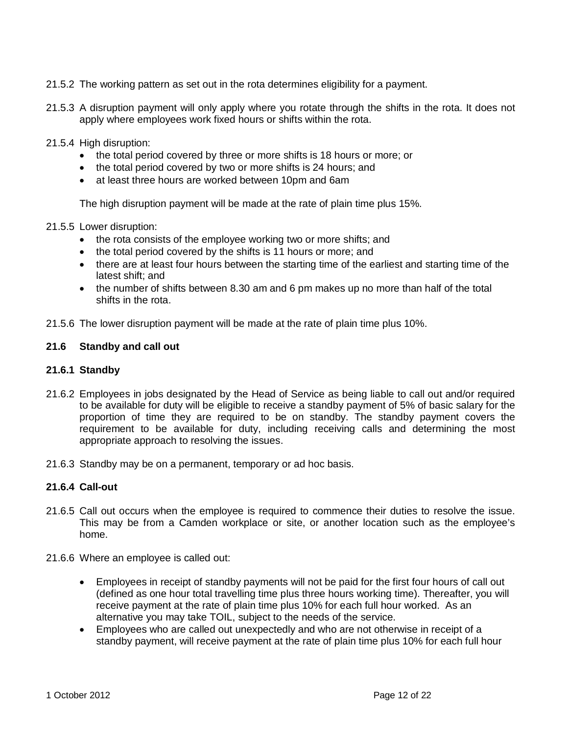- 21.5.2 The working pattern as set out in the rota determines eligibility for a payment.
- 21.5.3 A disruption payment will only apply where you rotate through the shifts in the rota. It does not apply where employees work fixed hours or shifts within the rota.
- 21.5.4 High disruption:
	- the total period covered by three or more shifts is 18 hours or more; or
	- the total period covered by two or more shifts is 24 hours; and
	- at least three hours are worked between 10pm and 6am

The high disruption payment will be made at the rate of plain time plus 15%.

- 21.5.5 Lower disruption:
	- the rota consists of the employee working two or more shifts; and
	- the total period covered by the shifts is 11 hours or more; and
	- there are at least four hours between the starting time of the earliest and starting time of the latest shift; and
	- the number of shifts between 8.30 am and 6 pm makes up no more than half of the total shifts in the rota.
- 21.5.6 The lower disruption payment will be made at the rate of plain time plus 10%.

#### **21.6 Standby and call out**

#### **21.6.1 Standby**

- 21.6.2 Employees in jobs designated by the Head of Service as being liable to call out and/or required to be available for duty will be eligible to receive a standby payment of 5% of basic salary for the proportion of time they are required to be on standby. The standby payment covers the requirement to be available for duty, including receiving calls and determining the most appropriate approach to resolving the issues.
- 21.6.3 Standby may be on a permanent, temporary or ad hoc basis.

## **21.6.4 Call-out**

- 21.6.5 Call out occurs when the employee is required to commence their duties to resolve the issue. This may be from a Camden workplace or site, or another location such as the employee's home.
- 21.6.6 Where an employee is called out:
	- Employees in receipt of standby payments will not be paid for the first four hours of call out (defined as one hour total travelling time plus three hours working time). Thereafter, you will receive payment at the rate of plain time plus 10% for each full hour worked. As an alternative you may take TOIL, subject to the needs of the service.
	- Employees who are called out unexpectedly and who are not otherwise in receipt of a standby payment, will receive payment at the rate of plain time plus 10% for each full hour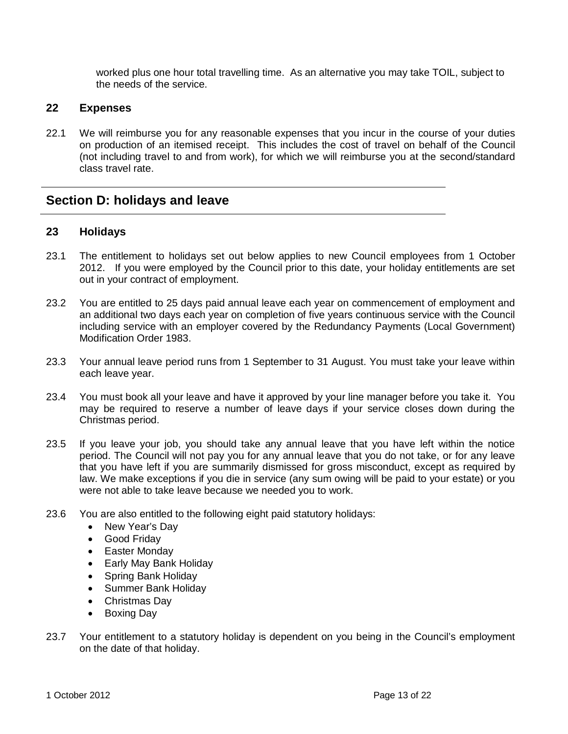worked plus one hour total travelling time. As an alternative you may take TOIL, subject to the needs of the service.

## <span id="page-12-0"></span>**22 Expenses**

22.1 We will reimburse you for any reasonable expenses that you incur in the course of your duties on production of an itemised receipt. This includes the cost of travel on behalf of the Council (not including travel to and from work), for which we will reimburse you at the second/standard class travel rate.

## <span id="page-12-1"></span>**Section D: holidays and leave**

## <span id="page-12-2"></span>**23 Holidays**

- 23.1 The entitlement to holidays set out below applies to new Council employees from 1 October 2012. If you were employed by the Council prior to this date, your holiday entitlements are set out in your contract of employment.
- 23.2 You are entitled to 25 days paid annual leave each year on commencement of employment and an additional two days each year on completion of five years continuous service with the Council including service with an employer covered by the Redundancy Payments (Local Government) Modification Order 1983.
- 23.3 Your annual leave period runs from 1 September to 31 August. You must take your leave within each leave year.
- 23.4 You must book all your leave and have it approved by your line manager before you take it. You may be required to reserve a number of leave days if your service closes down during the Christmas period.
- 23.5 If you leave your job, you should take any annual leave that you have left within the notice period. The Council will not pay you for any annual leave that you do not take, or for any leave that you have left if you are summarily dismissed for gross misconduct, except as required by law. We make exceptions if you die in service (any sum owing will be paid to your estate) or you were not able to take leave because we needed you to work.
- 23.6 You are also entitled to the following eight paid statutory holidays:
	- New Year's Day
	- Good Friday
	- Easter Monday
	- Early May Bank Holiday
	- Spring Bank Holiday
	- Summer Bank Holiday
	- Christmas Day
	- Boxing Day
- 23.7 Your entitlement to a statutory holiday is dependent on you being in the Council's employment on the date of that holiday.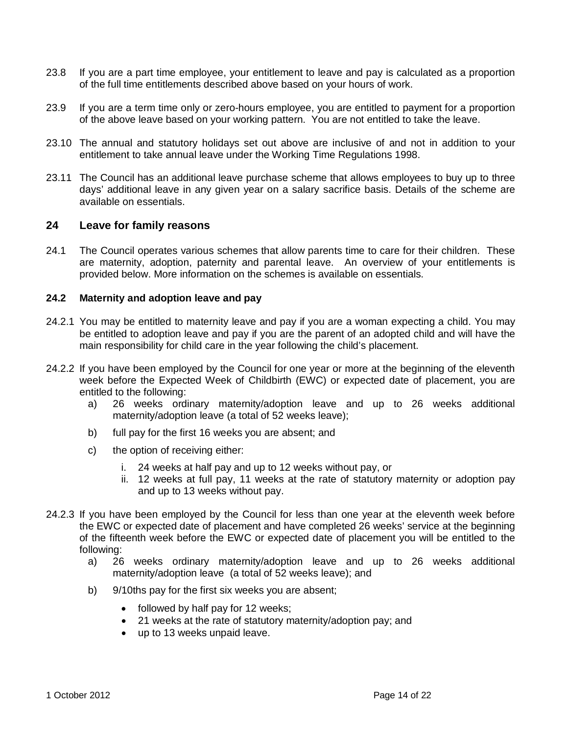- 23.8 If you are a part time employee, your entitlement to leave and pay is calculated as a proportion of the full time entitlements described above based on your hours of work.
- 23.9 If you are a term time only or zero-hours employee, you are entitled to payment for a proportion of the above leave based on your working pattern. You are not entitled to take the leave.
- 23.10 The annual and statutory holidays set out above are inclusive of and not in addition to your entitlement to take annual leave under the Working Time Regulations 1998.
- 23.11 The Council has an additional leave purchase scheme that allows employees to buy up to three days' additional leave in any given year on a salary sacrifice basis. Details of the scheme are available on essentials.

## <span id="page-13-0"></span>**24 Leave for family reasons**

24.1 The Council operates various schemes that allow parents time to care for their children. These are maternity, adoption, paternity and parental leave. An overview of your entitlements is provided below. More information on the schemes is available on essentials.

## **24.2 Maternity and adoption leave and pay**

- 24.2.1 You may be entitled to maternity leave and pay if you are a woman expecting a child. You may be entitled to adoption leave and pay if you are the parent of an adopted child and will have the main responsibility for child care in the year following the child's placement.
- 24.2.2 If you have been employed by the Council for one year or more at the beginning of the eleventh week before the Expected Week of Childbirth (EWC) or expected date of placement, you are entitled to the following:
	- a) 26 weeks ordinary maternity/adoption leave and up to 26 weeks additional maternity/adoption leave (a total of 52 weeks leave);
	- b) full pay for the first 16 weeks you are absent; and
	- c) the option of receiving either:
		- i. 24 weeks at half pay and up to 12 weeks without pay, or
		- ii. 12 weeks at full pay, 11 weeks at the rate of statutory maternity or adoption pay and up to 13 weeks without pay.
- 24.2.3 If you have been employed by the Council for less than one year at the eleventh week before the EWC or expected date of placement and have completed 26 weeks' service at the beginning of the fifteenth week before the EWC or expected date of placement you will be entitled to the following:
	- a) 26 weeks ordinary maternity/adoption leave and up to 26 weeks additional maternity/adoption leave (a total of 52 weeks leave); and
	- b) 9/10ths pay for the first six weeks you are absent;
		- followed by half pay for 12 weeks;
		- 21 weeks at the rate of statutory maternity/adoption pay; and
		- up to 13 weeks unpaid leave.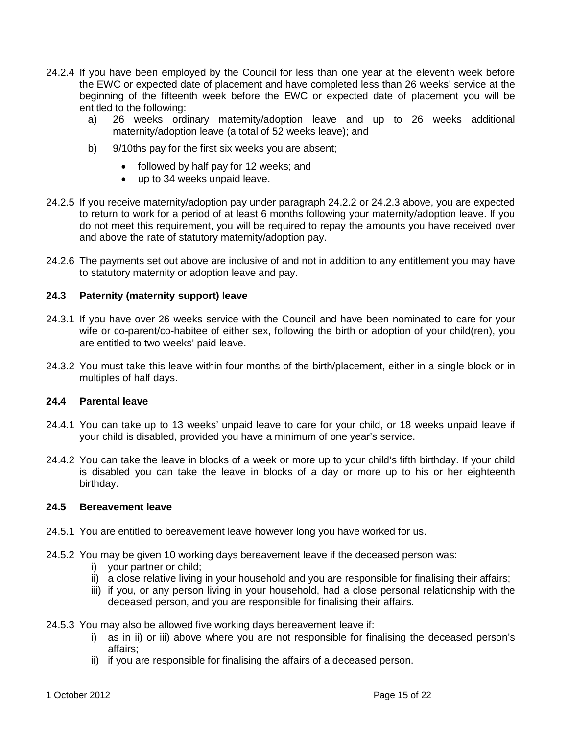- 24.2.4 If you have been employed by the Council for less than one year at the eleventh week before the EWC or expected date of placement and have completed less than 26 weeks' service at the beginning of the fifteenth week before the EWC or expected date of placement you will be entitled to the following:
	- a) 26 weeks ordinary maternity/adoption leave and up to 26 weeks additional maternity/adoption leave (a total of 52 weeks leave); and
	- b) 9/10ths pay for the first six weeks you are absent;
		- followed by half pay for 12 weeks; and
		- up to 34 weeks unpaid leave.
- 24.2.5 If you receive maternity/adoption pay under paragraph 24.2.2 or 24.2.3 above, you are expected to return to work for a period of at least 6 months following your maternity/adoption leave. If you do not meet this requirement, you will be required to repay the amounts you have received over and above the rate of statutory maternity/adoption pay.
- 24.2.6 The payments set out above are inclusive of and not in addition to any entitlement you may have to statutory maternity or adoption leave and pay.

## **24.3 Paternity (maternity support) leave**

- 24.3.1 If you have over 26 weeks service with the Council and have been nominated to care for your wife or co-parent/co-habitee of either sex, following the birth or adoption of your child(ren), you are entitled to two weeks' paid leave.
- 24.3.2 You must take this leave within four months of the birth/placement, either in a single block or in multiples of half days.

#### **24.4 Parental leave**

- 24.4.1 You can take up to 13 weeks' unpaid leave to care for your child, or 18 weeks unpaid leave if your child is disabled, provided you have a minimum of one year's service.
- 24.4.2 You can take the leave in blocks of a week or more up to your child's fifth birthday. If your child is disabled you can take the leave in blocks of a day or more up to his or her eighteenth birthday.

#### **24.5 Bereavement leave**

- 24.5.1 You are entitled to bereavement leave however long you have worked for us.
- 24.5.2 You may be given 10 working days bereavement leave if the deceased person was:
	- i) your partner or child;
	- ii) a close relative living in your household and you are responsible for finalising their affairs;
	- iii) if you, or any person living in your household, had a close personal relationship with the deceased person, and you are responsible for finalising their affairs.
- 24.5.3 You may also be allowed five working days bereavement leave if:
	- i) as in ii) or iii) above where you are not responsible for finalising the deceased person's affairs;
	- ii) if you are responsible for finalising the affairs of a deceased person.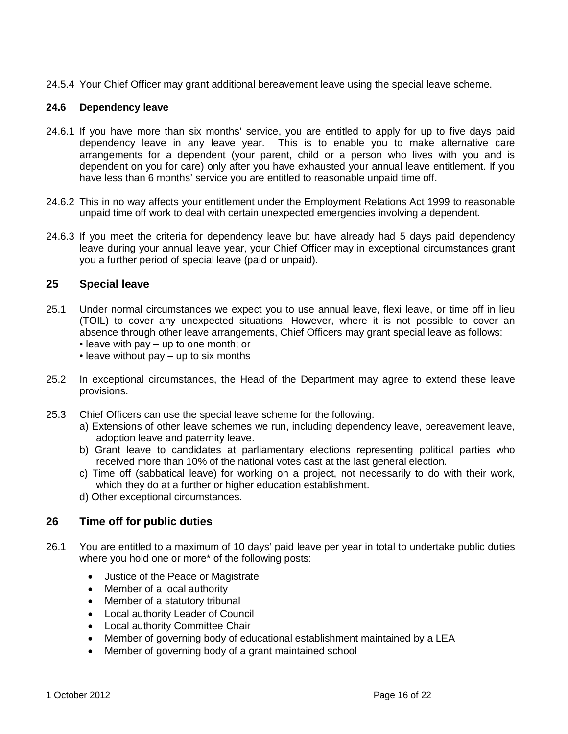24.5.4 Your Chief Officer may grant additional bereavement leave using the special leave scheme.

## **24.6 Dependency leave**

- 24.6.1 If you have more than six months' service, you are entitled to apply for up to five days paid dependency leave in any leave year. This is to enable you to make alternative care arrangements for a dependent (your parent, child or a person who lives with you and is dependent on you for care) only after you have exhausted your annual leave entitlement. If you have less than 6 months' service you are entitled to reasonable unpaid time off.
- 24.6.2 This in no way affects your entitlement under the Employment Relations Act 1999 to reasonable unpaid time off work to deal with certain unexpected emergencies involving a dependent.
- 24.6.3 If you meet the criteria for dependency leave but have already had 5 days paid dependency leave during your annual leave year, your Chief Officer may in exceptional circumstances grant you a further period of special leave (paid or unpaid).

## <span id="page-15-0"></span>**25 Special leave**

- 25.1 Under normal circumstances we expect you to use annual leave, flexi leave, or time off in lieu (TOIL) to cover any unexpected situations. However, where it is not possible to cover an absence through other leave arrangements, Chief Officers may grant special leave as follows: • leave with pay – up to one month; or
	- leave without pay up to six months
- 25.2 In exceptional circumstances, the Head of the Department may agree to extend these leave provisions.
- 25.3 Chief Officers can use the special leave scheme for the following:
	- a) Extensions of other leave schemes we run, including dependency leave, bereavement leave, adoption leave and paternity leave.
	- b) Grant leave to candidates at parliamentary elections representing political parties who received more than 10% of the national votes cast at the last general election.
	- c) Time off (sabbatical leave) for working on a project, not necessarily to do with their work, which they do at a further or higher education establishment.
	- d) Other exceptional circumstances.

## <span id="page-15-1"></span>**26 Time off for public duties**

- 26.1 You are entitled to a maximum of 10 days' paid leave per year in total to undertake public duties where you hold one or more\* of the following posts:
	- Justice of the Peace or Magistrate
	- Member of a local authority
	- Member of a statutory tribunal
	- Local authority Leader of Council
	- Local authority Committee Chair
	- Member of governing body of educational establishment maintained by a LEA
	- Member of governing body of a grant maintained school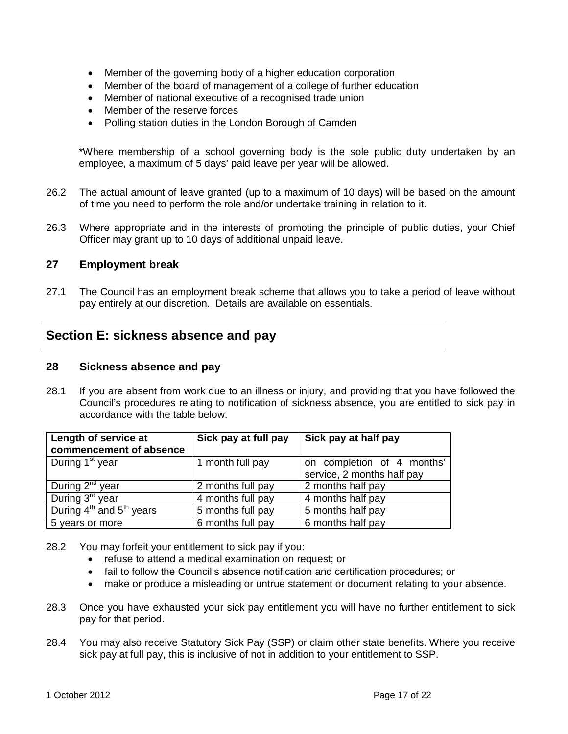- Member of the governing body of a higher education corporation
- Member of the board of management of a college of further education
- Member of national executive of a recognised trade union
- Member of the reserve forces
- Polling station duties in the London Borough of Camden

\*Where membership of a school governing body is the sole public duty undertaken by an employee, a maximum of 5 days' paid leave per year will be allowed.

- 26.2 The actual amount of leave granted (up to a maximum of 10 days) will be based on the amount of time you need to perform the role and/or undertake training in relation to it.
- 26.3 Where appropriate and in the interests of promoting the principle of public duties, your Chief Officer may grant up to 10 days of additional unpaid leave.

## <span id="page-16-0"></span>**27 Employment break**

27.1 The Council has an employment break scheme that allows you to take a period of leave without pay entirely at our discretion. Details are available on essentials.

## <span id="page-16-1"></span>**Section E: sickness absence and pay**

#### <span id="page-16-2"></span>**28 Sickness absence and pay**

28.1 If you are absent from work due to an illness or injury, and providing that you have followed the Council's procedures relating to notification of sickness absence, you are entitled to sick pay in accordance with the table below:

| Length of service at                             | Sick pay at full pay | Sick pay at half pay       |
|--------------------------------------------------|----------------------|----------------------------|
| commencement of absence                          |                      |                            |
| During 1 <sup>st</sup> year                      | 1 month full pay     | on completion of 4 months' |
|                                                  |                      | service, 2 months half pay |
| During $2^{nd}$ year                             | 2 months full pay    | 2 months half pay          |
| During 3 <sup>rd</sup> year                      | 4 months full pay    | 4 months half pay          |
| During 4 <sup>th</sup> and 5 <sup>th</sup> years | 5 months full pay    | 5 months half pay          |
| 5 years or more                                  | 6 months full pay    | 6 months half pay          |

- 28.2 You may forfeit your entitlement to sick pay if you:
	- refuse to attend a medical examination on request; or
	- fail to follow the Council's absence notification and certification procedures; or
	- make or produce a misleading or untrue statement or document relating to your absence.
- 28.3 Once you have exhausted your sick pay entitlement you will have no further entitlement to sick pay for that period.
- 28.4 You may also receive Statutory Sick Pay (SSP) or claim other state benefits. Where you receive sick pay at full pay, this is inclusive of not in addition to your entitlement to SSP.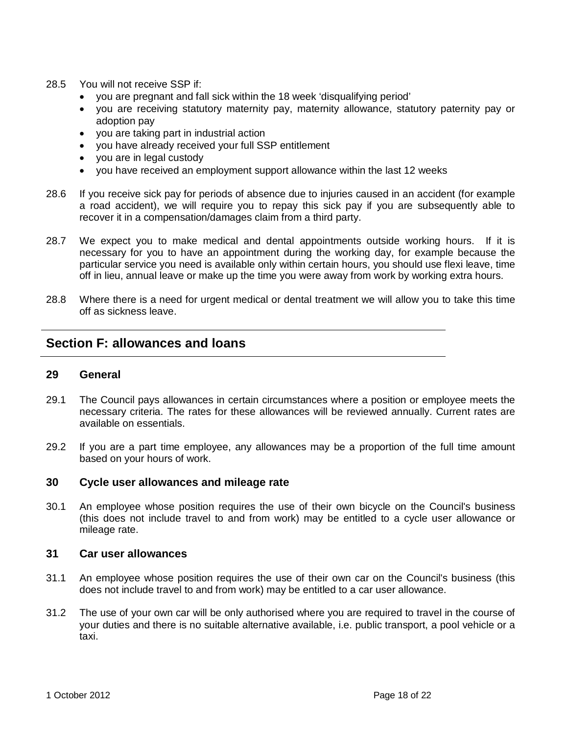- 28.5 You will not receive SSP if
	- you are pregnant and fall sick within the 18 week 'disqualifying period'
	- you are receiving statutory maternity pay, maternity allowance, statutory paternity pay or adoption pay
	- you are taking part in industrial action
	- you have already received your full SSP entitlement
	- you are in legal custody
	- you have received an employment support allowance within the last 12 weeks
- 28.6 If you receive sick pay for periods of absence due to injuries caused in an accident (for example a road accident), we will require you to repay this sick pay if you are subsequently able to recover it in a compensation/damages claim from a third party.
- 28.7 We expect you to make medical and dental appointments outside working hours. If it is necessary for you to have an appointment during the working day, for example because the particular service you need is available only within certain hours, you should use flexi leave, time off in lieu, annual leave or make up the time you were away from work by working extra hours.
- 28.8 Where there is a need for urgent medical or dental treatment we will allow you to take this time off as sickness leave.

## <span id="page-17-0"></span>**Section F: allowances and loans**

## <span id="page-17-1"></span>**29 General**

- 29.1 The Council pays allowances in certain circumstances where a position or employee meets the necessary criteria. The rates for these allowances will be reviewed annually. Current rates are available on essentials.
- 29.2 If you are a part time employee, any allowances may be a proportion of the full time amount based on your hours of work.

## <span id="page-17-2"></span>**30 Cycle user allowances and mileage rate**

30.1 An employee whose position requires the use of their own bicycle on the Council's business (this does not include travel to and from work) may be entitled to a cycle user allowance or mileage rate.

## <span id="page-17-3"></span>**31 Car user allowances**

- 31.1 An employee whose position requires the use of their own car on the Council's business (this does not include travel to and from work) may be entitled to a car user allowance.
- 31.2 The use of your own car will be only authorised where you are required to travel in the course of your duties and there is no suitable alternative available, i.e. public transport, a pool vehicle or a taxi.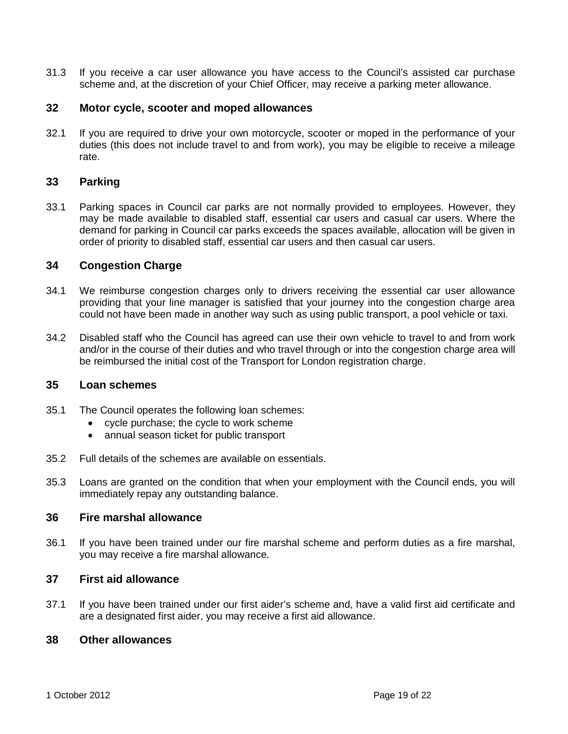31.3 If you receive a car user allowance you have access to the Council's assisted car purchase scheme and, at the discretion of your Chief Officer, may receive a parking meter allowance.

## <span id="page-18-0"></span>**32 Motor cycle, scooter and moped allowances**

32.1 If you are required to drive your own motorcycle, scooter or moped in the performance of your duties (this does not include travel to and from work), you may be eligible to receive a mileage rate.

## <span id="page-18-1"></span>**33 Parking**

33.1 Parking spaces in Council car parks are not normally provided to employees. However, they may be made available to disabled staff, essential car users and casual car users. Where the demand for parking in Council car parks exceeds the spaces available, allocation will be given in order of priority to disabled staff, essential car users and then casual car users.

## <span id="page-18-2"></span>**34 Congestion Charge**

- 34.1 We reimburse congestion charges only to drivers receiving the essential car user allowance providing that your line manager is satisfied that your journey into the congestion charge area could not have been made in another way such as using public transport, a pool vehicle or taxi.
- 34.2 Disabled staff who the Council has agreed can use their own vehicle to travel to and from work and/or in the course of their duties and who travel through or into the congestion charge area will be reimbursed the initial cost of the Transport for London registration charge.

## <span id="page-18-3"></span>**35 Loan schemes**

- 35.1 The Council operates the following loan schemes:
	- cycle purchase; the cycle to work scheme
	- annual season ticket for public transport
- 35.2 Full details of the schemes are available on essentials.
- 35.3 Loans are granted on the condition that when your employment with the Council ends, you will immediately repay any outstanding balance.

## <span id="page-18-4"></span>**36 Fire marshal allowance**

36.1 If you have been trained under our fire marshal scheme and perform duties as a fire marshal, you may receive a fire marshal allowance.

#### <span id="page-18-5"></span>**37 First aid allowance**

37.1 If you have been trained under our first aider's scheme and, have a valid first aid certificate and are a designated first aider, you may receive a first aid allowance.

#### <span id="page-18-6"></span>**38 Other allowances**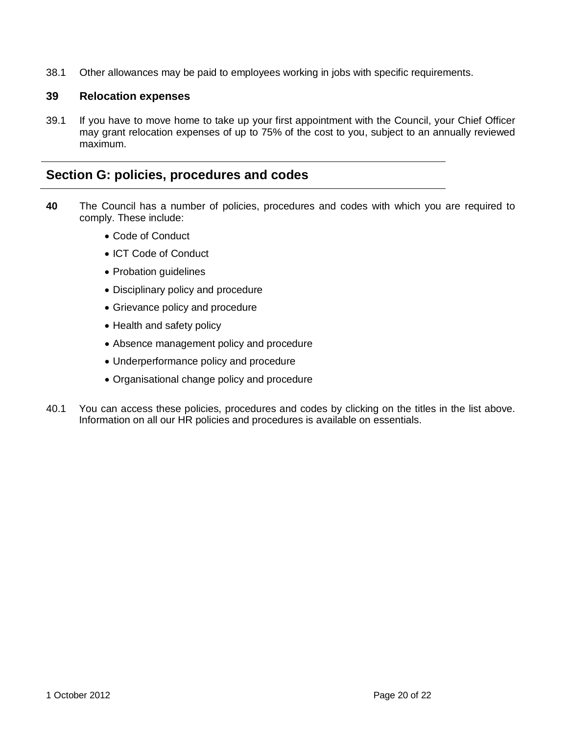38.1 Other allowances may be paid to employees working in jobs with specific requirements.

## <span id="page-19-0"></span>**39 Relocation expenses**

39.1 If you have to move home to take up your first appointment with the Council, your Chief Officer may grant relocation expenses of up to 75% of the cost to you, subject to an annually reviewed maximum.

## <span id="page-19-1"></span>**Section G: policies, procedures and codes**

- **40** The Council has a number of policies, procedures and codes with which you are required to comply. These include:
	- Code of Conduct
	- ICT Code of Conduct
	- Probation guidelines
	- Disciplinary policy and procedure
	- Grievance policy and procedure
	- Health and safety policy
	- Absence management policy and procedure
	- Underperformance policy and procedure
	- Organisational change policy and procedure
- 40.1 You can access these policies, procedures and codes by clicking on the titles in the list above. Information on all our HR policies and procedures is available on essentials.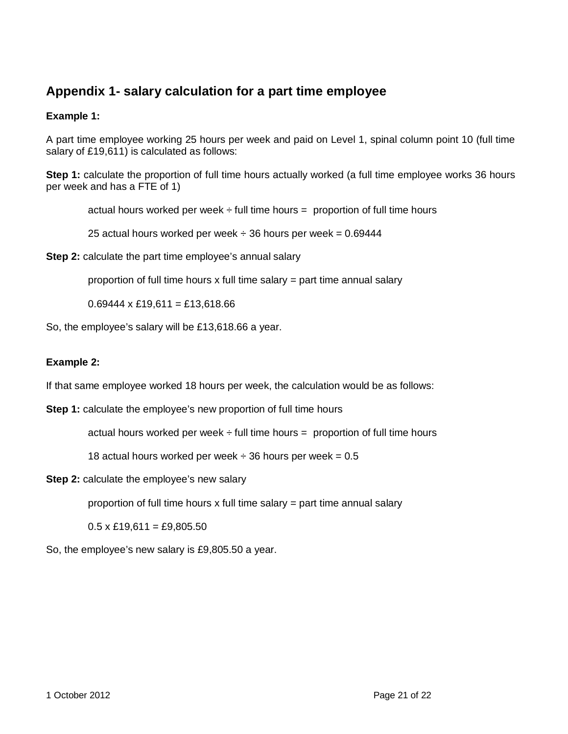## <span id="page-20-0"></span>**Appendix 1- salary calculation for a part time employee**

## **Example 1:**

A part time employee working 25 hours per week and paid on Level 1, spinal column point 10 (full time salary of £19,611) is calculated as follows:

**Step 1:** calculate the proportion of full time hours actually worked (a full time employee works 36 hours per week and has a FTE of 1)

actual hours worked per week  $\div$  full time hours = proportion of full time hours

25 actual hours worked per week  $\div$  36 hours per week = 0.69444

**Step 2:** calculate the part time employee's annual salary

proportion of full time hours  $x$  full time salary = part time annual salary

 $0.69444 \times £19,611 = £13,618.66$ 

So, the employee's salary will be £13,618.66 a year.

## **Example 2:**

If that same employee worked 18 hours per week, the calculation would be as follows:

**Step 1:** calculate the employee's new proportion of full time hours

actual hours worked per week  $\div$  full time hours = proportion of full time hours

18 actual hours worked per week  $\div$  36 hours per week = 0.5

**Step 2:** calculate the employee's new salary

proportion of full time hours x full time salary  $=$  part time annual salary

 $0.5 \times$  £19,611 = £9,805.50

So, the employee's new salary is £9,805.50 a year.